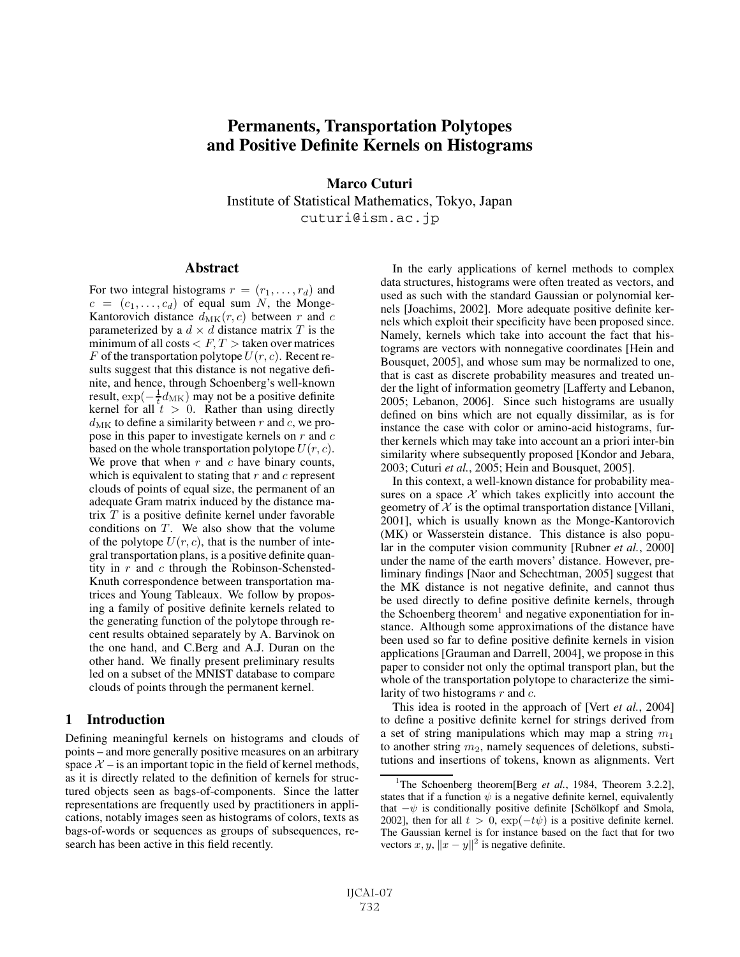# **Permanents, Transportation Polytopes and Positive Definite Kernels on Histograms**

**Marco Cuturi** Institute of Statistical Mathematics, Tokyo, Japan cuturi@ism.ac.jp

## **Abstract**

For two integral histograms  $r = (r_1, \ldots, r_d)$  and  $c = (c_1, \ldots, c_d)$  of equal sum N, the Monge-Kantorovich distance  $d_{MK}(r, c)$  between r and c parameterized by a  $d \times d$  distance matrix T is the minimum of all costs  $\langle F, T \rangle$  taken over matrices F of the transportation polytope  $U(r, c)$ . Recent results suggest that this distance is not negative definite, and hence, through Schoenberg's well-known result,  $\exp(-\frac{1}{t}d_{MK})$  may not be a positive definite<br>kernel for all  $t > 0$ . Rather than using directly kernel for all  $t > 0$ . Rather than using directly  $d_{MK}$  to define a similarity between r and c, we propose in this paper to investigate kernels on  $r$  and  $c$ based on the whole transportation polytope  $U(r, c)$ . We prove that when  $r$  and  $c$  have binary counts, which is equivalent to stating that  $r$  and  $c$  represent clouds of points of equal size, the permanent of an adequate Gram matrix induced by the distance matrix  $T$  is a positive definite kernel under favorable conditions on  $T$ . We also show that the volume of the polytope  $U(r, c)$ , that is the number of integral transportation plans, is a positive definite quantity in  $r$  and  $c$  through the Robinson-Schensted-Knuth correspondence between transportation matrices and Young Tableaux. We follow by proposing a family of positive definite kernels related to the generating function of the polytope through recent results obtained separately by A. Barvinok on the one hand, and C.Berg and A.J. Duran on the other hand. We finally present preliminary results led on a subset of the MNIST database to compare clouds of points through the permanent kernel.

## **1 Introduction**

Defining meaningful kernels on histograms and clouds of points – and more generally positive measures on an arbitrary space  $X$  – is an important topic in the field of kernel methods, as it is directly related to the definition of kernels for structured objects seen as bags-of-components. Since the latter representations are frequently used by practitioners in applications, notably images seen as histograms of colors, texts as bags-of-words or sequences as groups of subsequences, research has been active in this field recently.

In the early applications of kernel methods to complex data structures, histograms were often treated as vectors, and used as such with the standard Gaussian or polynomial kernels [Joachims, 2002]. More adequate positive definite kernels which exploit their specificity have been proposed since. Namely, kernels which take into account the fact that histograms are vectors with nonnegative coordinates [Hein and Bousquet, 2005], and whose sum may be normalized to one, that is cast as discrete probability measures and treated under the light of information geometry [Lafferty and Lebanon, 2005; Lebanon, 2006]. Since such histograms are usually defined on bins which are not equally dissimilar, as is for instance the case with color or amino-acid histograms, further kernels which may take into account an a priori inter-bin similarity where subsequently proposed [Kondor and Jebara, 2003; Cuturi *et al.*, 2005; Hein and Bousquet, 2005].

In this context, a well-known distance for probability measures on a space  $X$  which takes explicitly into account the geometry of  $X$  is the optimal transportation distance [Villani, 2001], which is usually known as the Monge-Kantorovich (MK) or Wasserstein distance. This distance is also popular in the computer vision community [Rubner *et al.*, 2000] under the name of the earth movers' distance. However, preliminary findings [Naor and Schechtman, 2005] suggest that the MK distance is not negative definite, and cannot thus be used directly to define positive definite kernels, through the Schoenberg theorem<sup>1</sup> and negative exponentiation for instance. Although some approximations of the distance have been used so far to define positive definite kernels in vision applications [Grauman and Darrell, 2004], we propose in this paper to consider not only the optimal transport plan, but the whole of the transportation polytope to characterize the similarity of two histograms  $r$  and  $c$ .

This idea is rooted in the approach of [Vert *et al.*, 2004] to define a positive definite kernel for strings derived from a set of string manipulations which may map a string  $m_1$ to another string  $m_2$ , namely sequences of deletions, substitutions and insertions of tokens, known as alignments. Vert

<sup>&</sup>lt;sup>1</sup>The Schoenberg theorem[Berg *et al.*, 1984, Theorem 3.2.2], states that if a function  $\psi$  is a negative definite kernel, equivalently that  $-\psi$  is conditionally positive definite [Schölkopf and Smola, 2002], then for all  $t > 0$ ,  $\exp(-t\psi)$  is a positive definite kernel. The Gaussian kernel is for instance based on the fact that for two vectors  $x, y, \|x - y\|^2$  is negative definite.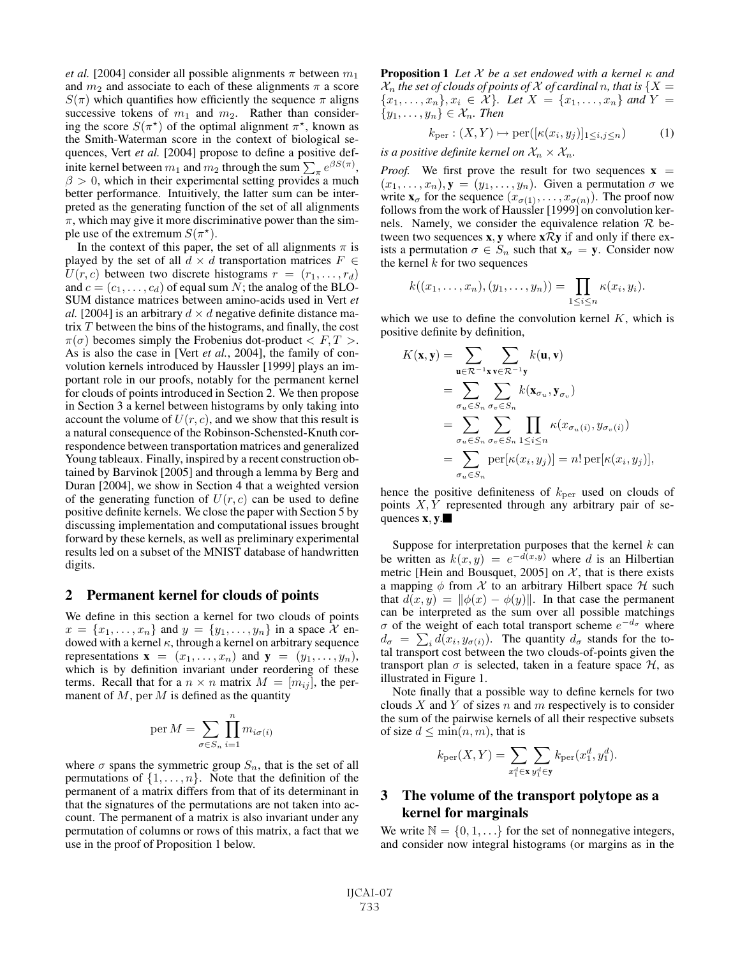*et al.* [2004] consider all possible alignments  $\pi$  between  $m_1$ and  $m_2$  and associate to each of these alignments  $\pi$  a score  $S(\pi)$  which quantifies how efficiently the sequence  $\pi$  aligns successive tokens of  $m_1$  and  $m_2$ . Rather than considering the score  $S(\pi^*)$  of the optimal alignment  $\pi^*$ , known as the Smith-Waterman score in the context of biological sethe Smith-Waterman score in the context of biological sequences, Vert et al. [2004] propose to define a positive definite kernel between  $m_1$  and  $m_2$  through the sum  $\sum_{\pi} e^{\beta S(\pi)}$ ,  $\beta > 0$ , which in their experimental setting provides a much better performance. Intuitively, the latter sum can be interpreted as the generating function of the set of all alignments  $\pi$ , which may give it more discriminative power than the simple use of the extremum  $S(\pi^*)$ .<br>In the context of this paper.

In the context of this paper, the set of all alignments  $\pi$  is played by the set of all  $d \times d$  transportation matrices  $F \in$  $U(r, c)$  between two discrete histograms  $r = (r_1, \ldots, r_d)$ and  $c = (c_1, \ldots, c_d)$  of equal sum N; the analog of the BLO-SUM distance matrices between amino-acids used in Vert *et al.* [2004] is an arbitrary  $d \times d$  negative definite distance matrix T between the bins of the histograms, and finally, the cost  $\pi(\sigma)$  becomes simply the Frobenius dot-product  $\langle F, T \rangle$ . As is also the case in [Vert *et al.*, 2004], the family of convolution kernels introduced by Haussler [1999] plays an important role in our proofs, notably for the permanent kernel for clouds of points introduced in Section 2. We then propose in Section 3 a kernel between histograms by only taking into account the volume of  $U(r, c)$ , and we show that this result is a natural consequence of the Robinson-Schensted-Knuth correspondence between transportation matrices and generalized Young tableaux. Finally, inspired by a recent construction obtained by Barvinok [2005] and through a lemma by Berg and Duran [2004], we show in Section 4 that a weighted version of the generating function of  $U(r, c)$  can be used to define positive definite kernels. We close the paper with Section 5 by discussing implementation and computational issues brought forward by these kernels, as well as preliminary experimental results led on a subset of the MNIST database of handwritten digits.

## **2 Permanent kernel for clouds of points**

We define in this section a kernel for two clouds of points  $x = \{x_1, \ldots, x_n\}$  and  $y = \{y_1, \ldots, y_n\}$  in a space X endowed with a kernel  $\kappa$ , through a kernel on arbitrary sequence representations  $\mathbf{x} = (x_1, \dots, x_n)$  and  $\mathbf{y} = (y_1, \dots, y_n)$ , which is by definition invariant under reordering of these terms. Recall that for a  $n \times n$  matrix  $M = [m_{ij}]$ , the permanent of  $M$ , per  $M$  is defined as the quantity

$$
\operatorname{per} M = \sum_{\sigma \in S_n} \prod_{i=1}^n m_{i\sigma(i)}
$$

where  $\sigma$  spans the symmetric group  $S_n$ , that is the set of all permutations of  $\{1, \ldots, n\}$ . Note that the definition of the permanent of a matrix differs from that of its determinant in that the signatures of the permutations are not taken into account. The permanent of a matrix is also invariant under any permutation of columns or rows of this matrix, a fact that we use in the proof of Proposition 1 below.

**Proposition 1** *Let* X *be a set endowed with a kernel* κ *and*  $\mathcal{X}_n$  *the set of clouds of points of*  $\mathcal X$  *of cardinal* n, that is  $\{X = \emptyset\}$  ${x_1, \ldots, x_n}, x_i \in \mathcal{X}$ *. Let*  $X = {x_1, \ldots, x_n}$  *and*  $Y =$  ${y_1, \ldots, y_n\}\in\mathcal{X}_n$ . Then

$$
k_{\text{per}} : (X, Y) \mapsto \text{per}([\kappa(x_i, y_j)]_{1 \le i, j \le n}) \tag{1}
$$

*is a positive definite kernel on*  $\mathcal{X}_n \times \mathcal{X}_n$ *.* 

*Proof.* We first prove the result for two sequences  $\mathbf{x}$  =  $(x_1,\ldots,x_n),$ **y** =  $(y_1,\ldots,y_n)$ . Given a permutation  $\sigma$  we write  $\mathbf{x}_{\sigma}$  for the sequence  $(x_{\sigma(1)},...,x_{\sigma(n)})$ . The proof now follows from the work of Haussler [1999] on convolution kernels. Namely, we consider the equivalence relation  $\mathcal R$  between two sequences **x**, **y** where **x**R**y** if and only if there exists a permutation  $\sigma \in S_n$  such that  $\mathbf{x}_{\sigma} = \mathbf{y}$ . Consider now the kernel  $k$  for two sequences

$$
k((x_1,\ldots,x_n),(y_1,\ldots,y_n))=\prod_{1\leq i\leq n}\kappa(x_i,y_i).
$$

which we use to define the convolution kernel  $K$ , which is positive definite by definition,

$$
K(\mathbf{x}, \mathbf{y}) = \sum_{\mathbf{u} \in \mathcal{R}^{-1}\mathbf{x}} \sum_{\mathbf{v} \in \mathcal{R}^{-1}\mathbf{y}} k(\mathbf{u}, \mathbf{v})
$$
  
= 
$$
\sum_{\sigma_u \in S_n} \sum_{\sigma_v \in S_n} k(\mathbf{x}_{\sigma_u}, \mathbf{y}_{\sigma_v})
$$
  
= 
$$
\sum_{\sigma_u \in S_n} \sum_{\sigma_v \in S_n} \prod_{1 \le i \le n} \kappa(x_{\sigma_u(i)}, y_{\sigma_v(i)})
$$
  
= 
$$
\sum_{\sigma_u \in S_n} \text{per}[\kappa(x_i, y_j)] = n! \text{ per}[\kappa(x_i, y_j)],
$$

hence the positive definiteness of  $k_{\text{per}}$  used on clouds of points  $X, Y$  represented through any arbitrary pair of sequences **x**, **y**.

Suppose for interpretation purposes that the kernel  $k$  can be written as  $k(x, y) = e^{-d(x,y)}$  where d is an Hilbertian metric [Hein and Bousquet, 2005] on  $\mathcal{X}$ , that is there exists a mapping  $\phi$  from X to an arbitrary Hilbert space H such that  $d(x, y) = ||\phi(x) - \phi(y)||$ . In that case the permanent can be interpreted as the sum over all possible matchings σ of the weight of each total transport scheme  $e^{-d_{\sigma}}$  where  $d_{\sigma} = \sum_{i} d(x_i, y_{\sigma(i)})$ . The quantity  $d_{\sigma}$  stands for the to-<br>tal transport cost between the two clouds-of-points given the tal transport cost between the two clouds-of-points given the transport plan  $\sigma$  is selected, taken in a feature space  $\mathcal{H}$ , as illustrated in Figure 1.

Note finally that a possible way to define kernels for two clouds  $X$  and  $Y$  of sizes  $n$  and  $m$  respectively is to consider the sum of the pairwise kernels of all their respective subsets of size  $d \leq \min(n, m)$ , that is

$$
k_{\text{per}}(X,Y)=\sum_{x_1^d\in \mathbf{x}}\sum_{y_1^d\in \mathbf{y}}k_{\text{per}}(x_1^d,y_1^d).
$$

# **3 The volume of the transport polytope as a kernel for marginals**

We write  $\mathbb{N} = \{0, 1, \ldots\}$  for the set of nonnegative integers, and consider now integral histograms (or margins as in the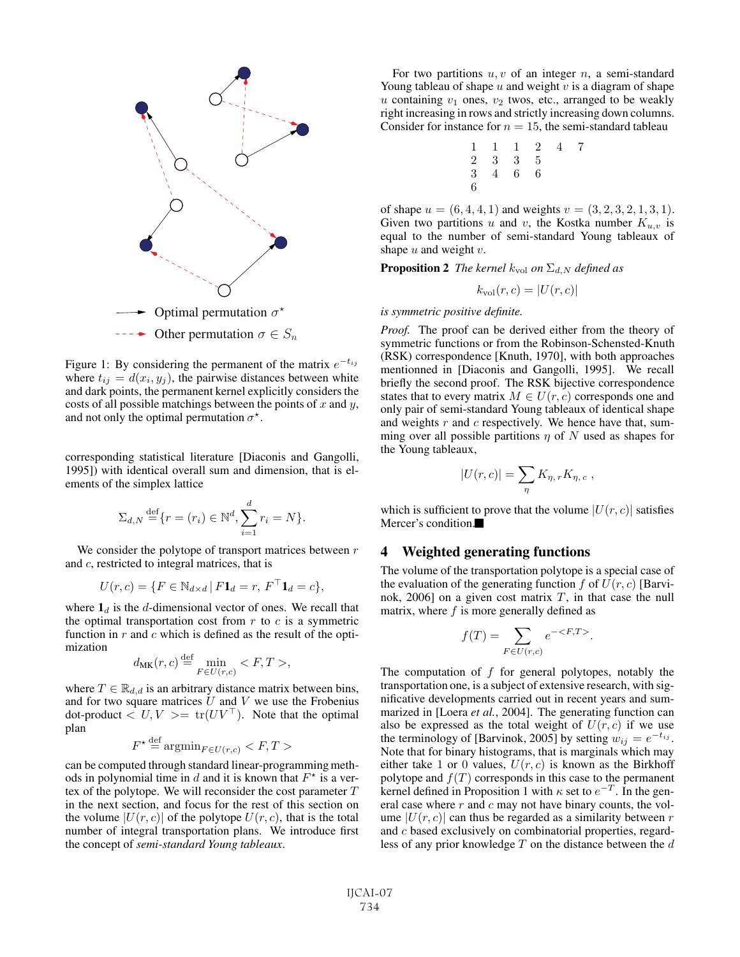

Figure 1: By considering the permanent of the matrix  $e^{-t_{ij}}$ where  $t_{ij} = d(x_i, y_j)$ , the pairwise distances between white and dark points, the permanent kernel explicitly considers the costs of all possible matchings between the points of  $x$  and  $y$ , and not only the optimal permutation  $\sigma^*$ .

corresponding statistical literature [Diaconis and Gangolli, 1995]) with identical overall sum and dimension, that is elements of the simplex lattice

$$
\Sigma_{d,N} \stackrel{\text{def}}{=} \{r = (r_i) \in \mathbb{N}^d, \sum_{i=1}^d r_i = N\}.
$$

We consider the polytope of transport matrices between  $r$ and c, restricted to integral matrices, that is

$$
U(r,c) = \{ F \in \mathbb{N}_{d \times d} \, | \, F\mathbf{1}_d = r, \, F^\top \mathbf{1}_d = c \},
$$

where  $\mathbf{1}_d$  is the d-dimensional vector of ones. We recall that the optimal transportation cost from  $r$  to  $c$  is a symmetric function in  $r$  and  $c$  which is defined as the result of the optimization

$$
d_{\text{MK}}(r, c) \stackrel{\text{def}}{=} \min_{F \in U(r, c)} < F, T > ,
$$

where  $T \in \mathbb{R}_{d,d}$  is an arbitrary distance matrix between bins, and for two square matrices  $U$  and  $V$  we use the Frobenius dot-product  $\langle U, V \rangle = \text{tr}(UV^{\top})$ . Note that the optimal plan

$$
F^{\star} \stackrel{\text{def}}{=} \operatorname{argmin}_{F \in U(r,c)} < F, T > \frac{1}{2}
$$

can be computed through standard linear-programming methods in polynomial time in d and it is known that  $F^*$  is a vertex of the polytope. We will reconsider the cost parameter  $T$ in the next section, and focus for the rest of this section on the volume  $|U(r, c)|$  of the polytope  $U(r, c)$ , that is the total number of integral transportation plans. We introduce first the concept of *semi-standard Young tableaux*.

For two partitions  $u, v$  of an integer  $n$ , a semi-standard Young tableau of shape  $u$  and weight  $v$  is a diagram of shape  $u$  containing  $v_1$  ones,  $v_2$  twos, etc., arranged to be weakly right increasing in rows and strictly increasing down columns. Consider for instance for  $n = 15$ , the semi-standard tableau<br>  $1 \quad 1 \quad 1 \quad 2 \quad 4 \quad 7$ 

$$
\begin{array}{cccccc}\n1 & 1 & 1 & 2 & 4 & 7 \\
2 & 3 & 3 & 5 & \\
3 & 4 & 6 & 6 & \\
6 & & & & & \n\end{array}
$$

of shape  $u = (6, 4, 4, 1)$  and weights  $v = (3, 2, 3, 2, 1, 3, 1)$ . Given two partitions u and v, the Kostka number  $K_{u,v}$  is equal to the number of semi-standard Young tableaux of shape  $u$  and weight  $v$ .

**Proposition 2** *The kernel*  $k_{\text{vol}}$  *on*  $\Sigma_{d,N}$  *defined as* 

$$
k_{\rm vol}(r,c)=|U(r,c)|
$$

#### *is symmetric positive definite.*

*Proof.* The proof can be derived either from the theory of symmetric functions or from the Robinson-Schensted-Knuth (RSK) correspondence [Knuth, 1970], with both approaches mentionned in [Diaconis and Gangolli, 1995]. We recall briefly the second proof. The RSK bijective correspondence states that to every matrix  $M \in U(r, c)$  corresponds one and only pair of semi-standard Young tableaux of identical shape and weights  $r$  and  $c$  respectively. We hence have that, summing over all possible partitions  $\eta$  of N used as shapes for the Young tableaux,

$$
|U(r,c)| = \sum_{\eta} K_{\eta,r} K_{\eta,c} ,
$$

which is sufficient to prove that the volume  $|U(r, c)|$  satisfies Mercer's condition.

## **4 Weighted generating functions**

The volume of the transportation polytope is a special case of the evaluation of the generating function  $f$  of  $U(r, c)$  [Barvinok, 2006] on a given cost matrix  $T$ , in that case the null matrix, where  $f$  is more generally defined as

$$
f(T) = \sum_{F \in U(r,c)} e^{-\langle F, T \rangle}.
$$

The computation of  $f$  for general polytopes, notably the transportation one, is a subject of extensive research, with significative developments carried out in recent years and summarized in [Loera *et al.*, 2004]. The generating function can also be expressed as the total weight of  $U(r, c)$  if we use the terminology of [Barvinok, 2005] by setting  $w_{ij} = e^{-t_{ij}}$ . Note that for binary histograms, that is marginals which may either take 1 or 0 values,  $U(r, c)$  is known as the Birkhoff polytope and  $f(T)$  corresponds in this case to the permanent kernel defined in Proposition 1 with  $\kappa$  set to  $e^{-T}$ . In the general case where  $r$  and  $c$  may not have binary counts, the volume  $|U(r, c)|$  can thus be regarded as a similarity between r and c based exclusively on combinatorial properties, regardless of any prior knowledge  $T$  on the distance between the  $d$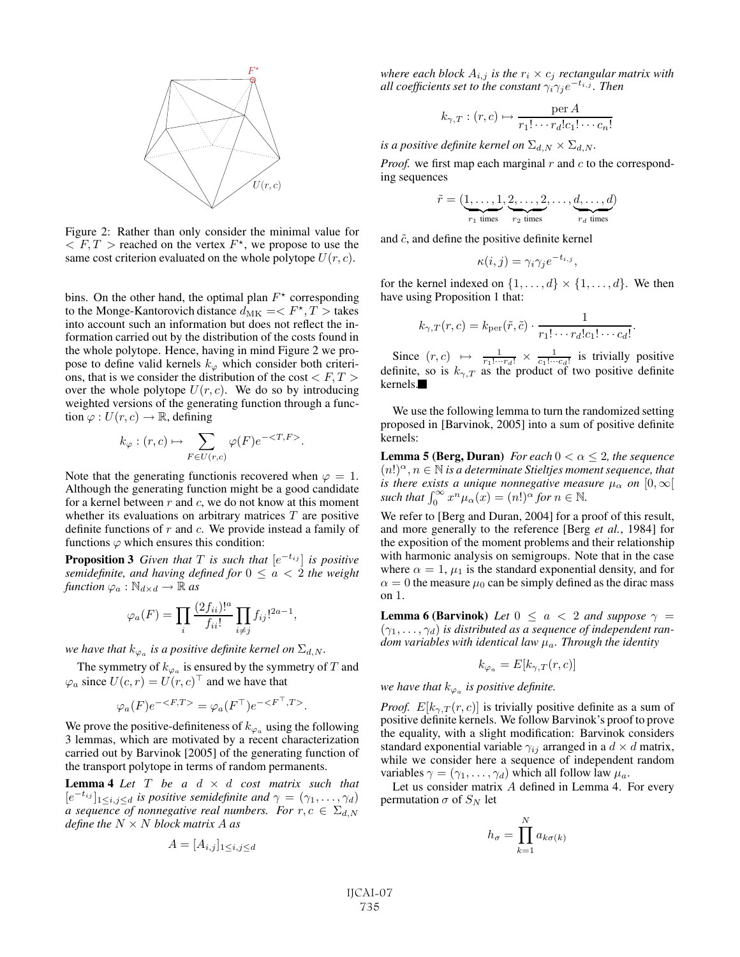

Figure 2: Rather than only consider the minimal value for  $\langle F, T \rangle$  reached on the vertex  $F^*$ , we propose to use the same cost criterion evaluated on the whole polytope  $U(r, c)$ .

bins. On the other hand, the optimal plan  $F^*$  corresponding to the Monge-Kantorovich distance  $d_{MK} = \langle F^*, T \rangle$  takes<br>into account such an information but does not reflect the ininto account such an information but does not reflect the information carried out by the distribution of the costs found in the whole polytope. Hence, having in mind Figure 2 we propose to define valid kernels  $k_{\varphi}$  which consider both criterions, that is we consider the distribution of the cost  $\langle F, T \rangle$ over the whole polytope  $U(r, c)$ . We do so by introducing weighted versions of the generating function through a function  $\varphi: U(r, c) \to \mathbb{R}$ , defining

$$
k_{\varphi} : (r, c) \mapsto \sum_{F \in U(r, c)} \varphi(F) e^{-\langle T, F \rangle}.
$$

Note that the generating functionis recovered when  $\varphi = 1$ . Although the generating function might be a good candidate for a kernel between  $r$  and  $c$ , we do not know at this moment whether its evaluations on arbitrary matrices  $T$  are positive definite functions of  $r$  and  $c$ . We provide instead a family of functions  $\varphi$  which ensures this condition:

**Proposition 3** *Given that*  $T$  *is such that*  $[e^{-t_{ij}}]$  *is positive semidefinite, and having defined for*  $0 \le a < 2$  *the weight function*  $\varphi_a : \mathbb{N}_{d \times d} \to \mathbb{R}$  *as* 

$$
\varphi_a(F) = \prod_i \frac{(2f_{ii})!^a}{f_{ii}!} \prod_{i \neq j} f_{ij}!^{2a-1},
$$

*we have that*  $k_{\varphi_a}$  *is a positive definite kernel on*  $\Sigma_{d,N}$ *.* 

The symmetry of  $k_{\varphi_a}$  is ensured by the symmetry of T and  $\varphi_a$  since  $U(c, r) = U(r, c)^\top$  and we have that

$$
\varphi_a(F)e^{-\langle F,T \rangle} = \varphi_a(F^{\top})e^{-\langle F^{\top},T \rangle}.
$$

We prove the positive-definiteness of  $k_{\varphi_a}$  using the following 3 lemmas, which are motivated by a recent characterization carried out by Barvinok [2005] of the generating function of the transport polytope in terms of random permanents.

**Lemma 4** *Let*  $T$  *be a*  $d \times d$  *cost matrix such that*  $[e^{-t_{ij}}]_{1\leq i,j\leq d}$  *is positive semidefinite and*  $\gamma = (\gamma_1,\ldots,\gamma_d)$ *a sequence of nonnegative real numbers. For*  $r, c \in \Sigma_{d,N}$ *define the* N × N *block matrix* A *as*

$$
A=[A_{i,j}]_{1\leq i,j\leq d}
$$

*where each block*  $A_{i,j}$  *is the*  $r_i \times c_j$  *rectangular matrix with all coefficients set to the constant*  $\gamma_i \gamma_j e^{-t_{i,j}}$ *. Then* 

$$
k_{\gamma,T} : (r,c) \mapsto \frac{\text{per } A}{r_1! \cdots r_d! c_1! \cdots c_n!}
$$

*is a positive definite kernel on*  $\Sigma_{d,N} \times \Sigma_{d,N}$ *.* 

*Proof.* we first map each marginal r and c to the corresponding sequences

$$
\tilde{r} = (\underbrace{1, \ldots, 1}_{r_1 \text{ times}}, \underbrace{2, \ldots, 2}_{r_2 \text{ times}}, \ldots, \underbrace{d, \ldots, d}_{r_d \text{ times}})
$$

and  $\tilde{c}$ , and define the positive definite kernel

$$
\kappa(i,j) = \gamma_i \gamma_j e^{-t_{i,j}},
$$

for the kernel indexed on  $\{1,\ldots,d\} \times \{1,\ldots,d\}$ . We then have using Proposition 1 that:

$$
k_{\gamma,T}(r,c) = k_{\text{per}}(\tilde{r},\tilde{c}) \cdot \frac{1}{r_1! \cdots r_d! c_1! \cdots c_d!}.
$$

Since  $(r, c) \mapsto \frac{1}{r_1! \cdots r_d!} \times \frac{1}{c_1! \cdots c_d!}$  is trivially positive<br>finite so is  $k = 3$  is the product of two positive definite definite, so is  $k_{\gamma,T}$  as the product of two positive definite kernels.

We use the following lemma to turn the randomized setting proposed in [Barvinok, 2005] into a sum of positive definite kernels:

**Lemma 5 (Berg, Duran)** *For each*  $0 < \alpha \leq 2$ *, the sequence*  $(n!)^{\alpha}, n \in \mathbb{N}$  *is a determinate Stieltjes moment sequence, that is there exists a unique nonnegative measure*  $\mu_{\alpha}$  *on*  $[0, \infty)$ *such that*  $\int_0^\infty x^n \mu_\alpha(x) = (n!)^{\alpha}$  *for*  $n \in \mathbb{N}$ .

We refer to [Berg and Duran, 2004] for a proof of this result, and more generally to the reference [Berg *et al.*, 1984] for the exposition of the moment problems and their relationship with harmonic analysis on semigroups. Note that in the case where  $\alpha = 1$ ,  $\mu_1$  is the standard exponential density, and for  $\alpha = 0$  the measure  $\mu_0$  can be simply defined as the dirac mass on 1.

**Lemma 6 (Barvinok)** *Let*  $0 \le a < 2$  *and suppose*  $\gamma =$  $(\gamma_1, \ldots, \gamma_d)$  *is distributed as a sequence of independent random variables with identical law* μa*. Through the identity*

$$
k_{\varphi_a}=E[k_{\gamma,T}(r,c)]
$$

*we have that*  $k_{\varphi_a}$  *is positive definite.* 

*Proof.*  $E[k_{\gamma,T}(r, c)]$  is trivially positive definite as a sum of positive definite kernels. We follow Barvinok's proof to prove the equality, with a slight modification: Barvinok considers standard exponential variable  $\gamma_{ij}$  arranged in a  $d \times d$  matrix, while we consider here a sequence of independent random variables  $\gamma = (\gamma_1, \dots, \gamma_d)$  which all follow law  $\mu_a$ .

Let us consider matrix A defined in Lemma 4. For every permutation  $\sigma$  of  $S_N$  let

$$
h_{\sigma} = \prod_{k=1}^{N} a_{k\sigma(k)}
$$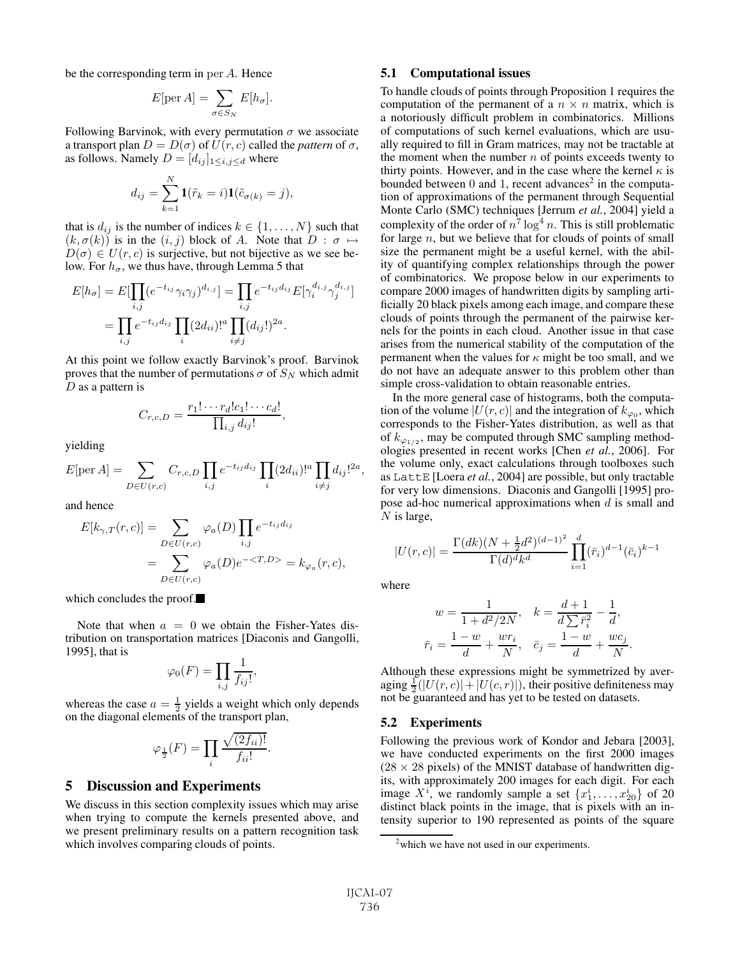be the corresponding term in per <sup>A</sup>. Hence

$$
E[\text{per } A] = \sum_{\sigma \in S_N} E[h_\sigma].
$$

Following Barvinok, with every permutation  $\sigma$  we associate a transport plan  $D = D(\sigma)$  of  $U(r, c)$  called the *pattern* of  $\sigma$ , as follows. Namely  $D = [d_{ij}]_{1 \le i,j \le d}$  where

$$
d_{ij} = \sum_{k=1}^{N} \mathbf{1}(\tilde{r}_k = i) \mathbf{1}(\tilde{c}_{\sigma(k)} = j),
$$

that is  $d_{ij}$  is the number of indices  $k \in \{1, \ldots, N\}$  such that  $(k, \sigma(k))$  is in the  $(i, j)$  block of A. Note that  $D : \sigma \mapsto$  $D(\sigma) \in U(r, c)$  is surjective, but not bijective as we see below. For  $h_{\sigma}$ , we thus have, through Lemma 5 that

$$
E[h_{\sigma}] = E[\prod_{i,j} (e^{-t_{ij}} \gamma_i \gamma_j)^{d_{i,j}}] = \prod_{i,j} e^{-t_{ij} d_{ij}} E[\gamma_i^{d_{i,j}} \gamma_j^{d_{i,j}}]
$$

$$
= \prod_{i,j} e^{-t_{ij} d_{ij}} \prod_i (2d_{ii})!^a \prod_{i \neq j} (d_{ij}!)^{2a}.
$$

At this point we follow exactly Barvinok's proof. Barvinok proves that the number of permutations  $\sigma$  of  $S_N$  which admit  $D$  as a pattern is

$$
C_{r,c,D} = \frac{r_1! \cdots r_d! c_1! \cdots c_d!}{\prod_{i,j} d_{ij}!},
$$

yielding

$$
E[\text{per } A] = \sum_{D \in U(r,c)} C_{r,c,D} \prod_{i,j} e^{-t_{ij}d_{ij}} \prod_{i} (2d_{ii})!^a \prod_{i \neq j} d_{ij}!^{2a},
$$

and hence

$$
E[k_{\gamma,T}(r,c)] = \sum_{D \in U(r,c)} \varphi_a(D) \prod_{i,j} e^{-t_{ij}d_{ij}}
$$
  
= 
$$
\sum_{D \in U(r,c)} \varphi_a(D) e^{-\langle T, D \rangle} = k_{\varphi_a}(r,c),
$$

which concludes the proof.

Note that when  $a = 0$  we obtain the Fisher-Yates distribution on transportation matrices [Diaconis and Gangolli, 1995], that is

$$
\varphi_0(F) = \prod_{i,j} \frac{1}{f_{ij}!},
$$

whereas the case  $a = \frac{1}{2}$  yields a weight which only depends<br>on the diagonal elements of the transport plan on the diagonal elements of the transport plan,

$$
\varphi_{\frac{1}{2}}(F) = \prod_{i} \frac{\sqrt{(2f_{ii})!}}{f_{ii}!}.
$$

## **5 Discussion and Experiments**

We discuss in this section complexity issues which may arise when trying to compute the kernels presented above, and we present preliminary results on a pattern recognition task which involves comparing clouds of points.

### **5.1 Computational issues**

To handle clouds of points through Proposition 1 requires the computation of the permanent of a  $n \times n$  matrix, which is a notoriously difficult problem in combinatorics. Millions of computations of such kernel evaluations, which are usually required to fill in Gram matrices, may not be tractable at the moment when the number  $n$  of points exceeds twenty to thirty points. However, and in the case where the kernel  $\kappa$  is bounded between  $0$  and  $1$ , recent advances<sup>2</sup> in the computation of approximations of the permanent through Sequential Monte Carlo (SMC) techniques [Jerrum *et al.*, 2004] yield a complexity of the order of  $n^7 \log^4 n$ . This is still problematic for large n but we believe that for clouds of points of small for large  $n$ , but we believe that for clouds of points of small size the permanent might be a useful kernel, with the ability of quantifying complex relationships through the power of combinatorics. We propose below in our experiments to compare 2000 images of handwritten digits by sampling artificially 20 black pixels among each image, and compare these clouds of points through the permanent of the pairwise kernels for the points in each cloud. Another issue in that case arises from the numerical stability of the computation of the permanent when the values for  $\kappa$  might be too small, and we do not have an adequate answer to this problem other than simple cross-validation to obtain reasonable entries.

In the more general case of histograms, both the computation of the volume  $|U(r, c)|$  and the integration of  $k_{\varphi_0}$ , which corresponds to the Fisher-Yates distribution, as well as that of  $k_{\varphi_{1/2}}$ , may be computed through SMC sampling methodologies presented in recent works [Chen *et al.*, 2006]. For the volume only, exact calculations through toolboxes such as LattE [Loera *et al.*, 2004] are possible, but only tractable for very low dimensions. Diaconis and Gangolli [1995] propose ad-hoc numerical approximations when  $d$  is small and  $N$  is large,

$$
|U(r,c)| = \frac{\Gamma(dk)(N + \frac{1}{2}d^2)^{(d-1)^2}}{\Gamma(d)^d k^d} \prod_{i=1}^d (\bar{r}_i)^{d-1} (\bar{c}_i)^{k-1}
$$

where

$$
w = \frac{1}{1 + d^2/2N}, \quad k = \frac{d+1}{d\sum \bar{r}_i^2} - \frac{1}{d},
$$
  

$$
\bar{r}_i = \frac{1 - w}{d} + \frac{wr_i}{N}, \quad \bar{c}_j = \frac{1 - w}{d} + \frac{wc_j}{N}.
$$

Although these expressions might be symmetrized by averaging  $\frac{1}{2}(|U(r, c)| + |U(c, r)|)$ , their positive definiteness may<br>not be guaranteed and has vet to be tested on datasets not be guaranteed and has yet to be tested on datasets.

#### **5.2 Experiments**

Following the previous work of Kondor and Jebara [2003], we have conducted experiments on the first 2000 images  $(28 \times 28 \text{ pixels})$  of the MNIST database of handwritten digits, with approximately 200 images for each digit. For each image  $X^{i}$ , we randomly sample a set  $\{x_1^i, \ldots, x_{20}^i\}$  of 20 distinct black points in the image, that is pixels with an intensity superior to 190 represented as points of the square

<sup>&</sup>lt;sup>2</sup>which we have not used in our experiments.